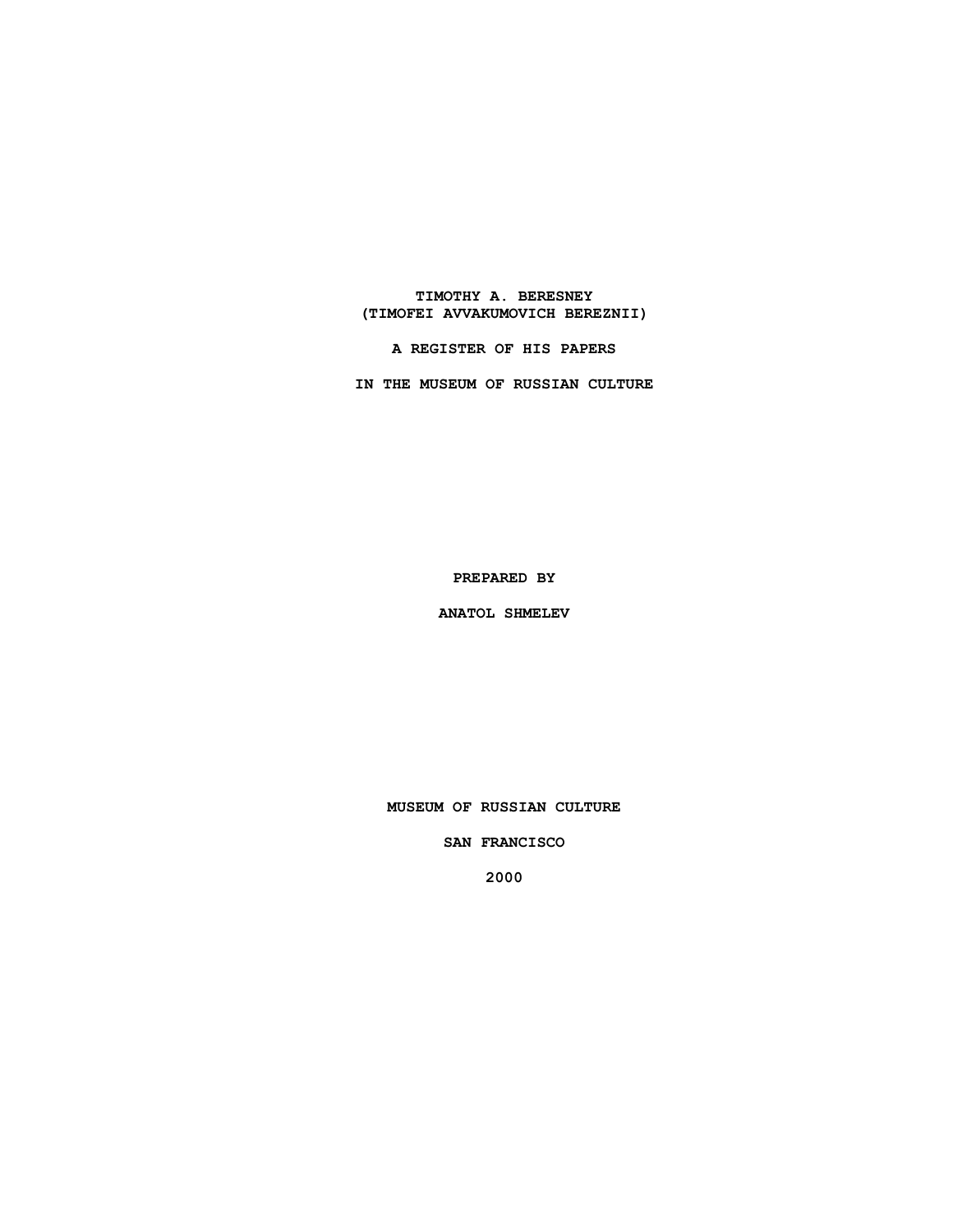## **TIMOTHY A. BERESNEY (TIMOFEI AVVAKUMOVICH BEREZNII)**

**A REGISTER OF HIS PAPERS**

**IN THE MUSEUM OF RUSSIAN CULTURE**

**PREPARED BY**

**ANATOL SHMELEV**

**MUSEUM OF RUSSIAN CULTURE**

**SAN FRANCISCO**

**2000**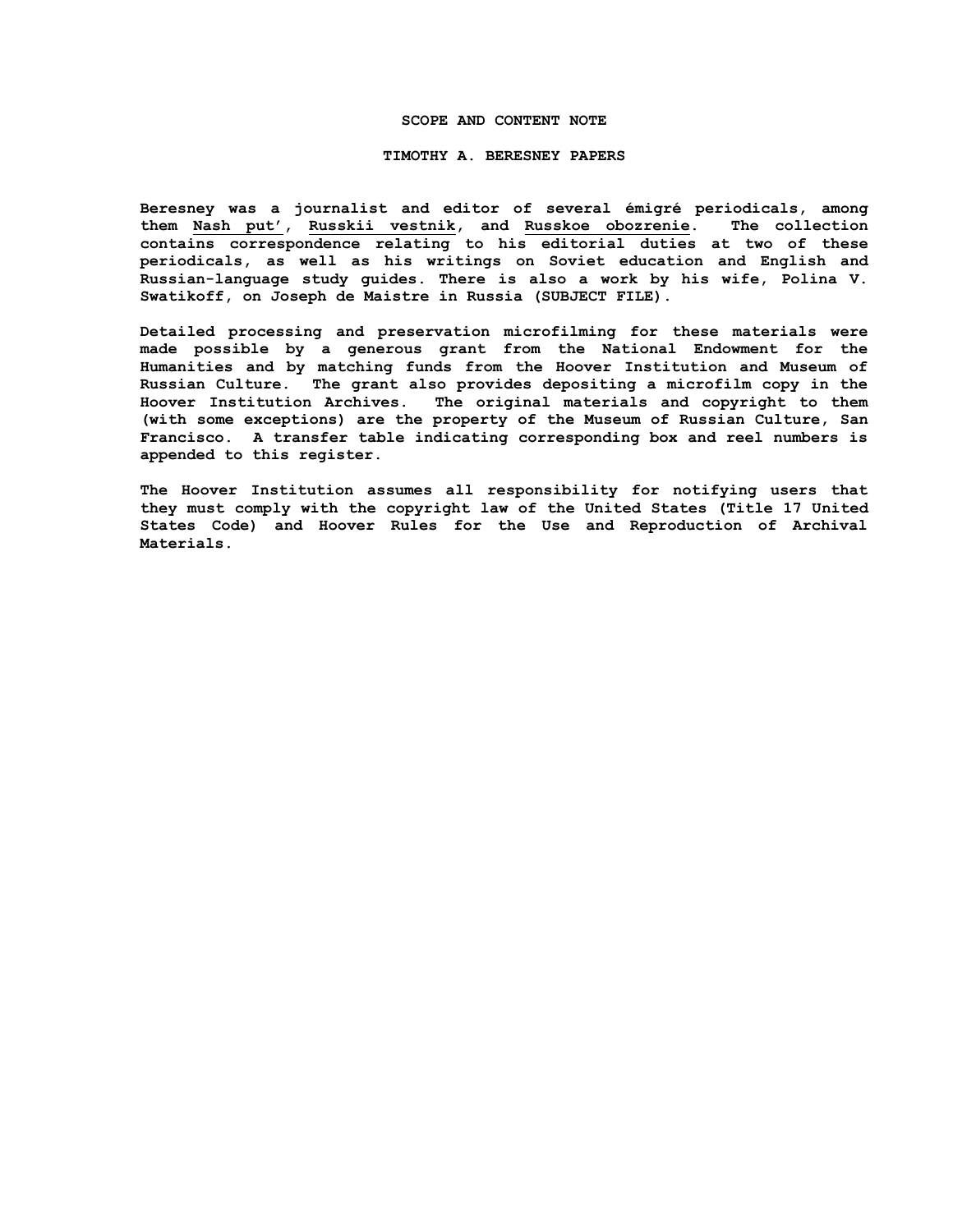#### **SCOPE AND CONTENT NOTE**

#### **TIMOTHY A. BERESNEY PAPERS**

**Beresney was a journalist and editor of several émigré periodicals, among them Nash put', Russkii vestnik, and Russkoe obozrenie. The collection contains correspondence relating to his editorial duties at two of these periodicals, as well as his writings on Soviet education and English and Russian-language study guides. There is also a work by his wife, Polina V. Swatikoff, on Joseph de Maistre in Russia (SUBJECT FILE).**

**Detailed processing and preservation microfilming for these materials were made possible by a generous grant from the National Endowment for the Humanities and by matching funds from the Hoover Institution and Museum of Russian Culture. The grant also provides depositing a microfilm copy in the Hoover Institution Archives. The original materials and copyright to them (with some exceptions) are the property of the Museum of Russian Culture, San Francisco. A transfer table indicating corresponding box and reel numbers is appended to this register.**

**The Hoover Institution assumes all responsibility for notifying users that they must comply with the copyright law of the United States (Title 17 United States Code) and Hoover Rules for the Use and Reproduction of Archival Materials.**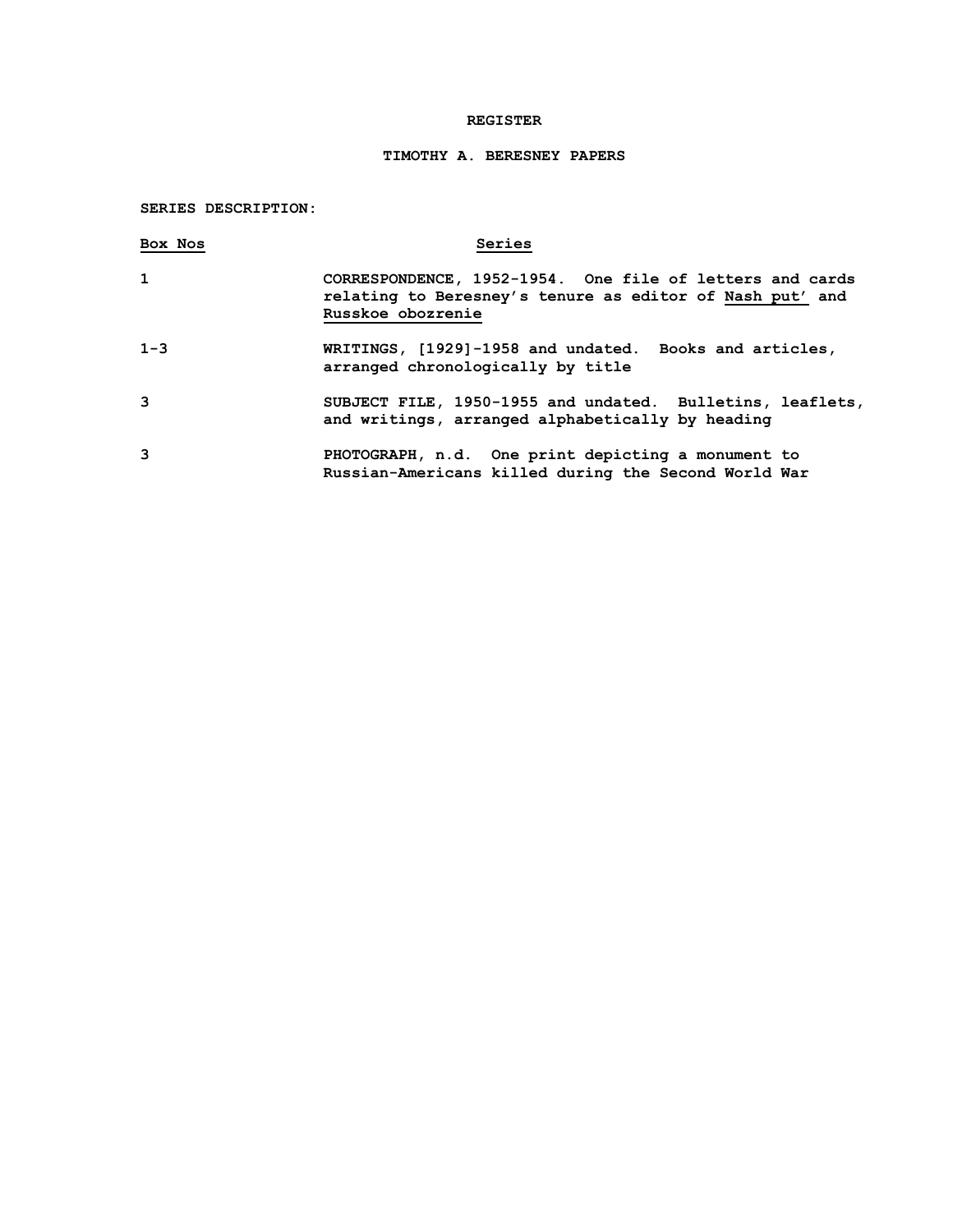### **REGISTER**

# **TIMOTHY A. BERESNEY PAPERS**

# **SERIES DESCRIPTION:**

| Box Nos | Series                                                                                                                                    |
|---------|-------------------------------------------------------------------------------------------------------------------------------------------|
| 1       | CORRESPONDENCE, 1952-1954. One file of letters and cards<br>relating to Beresney's tenure as editor of Nash put' and<br>Russkoe obozrenie |
| $1 - 3$ | WRITINGS, [1929]-1958 and undated. Books and articles,<br>arranged chronologically by title                                               |
| 3       | SUBJECT FILE, 1950-1955 and undated. Bulletins, leaflets,<br>and writings, arranged alphabetically by heading                             |
| 3       | PHOTOGRAPH, n.d. One print depicting a monument to<br>Russian-Americans killed during the Second World War                                |